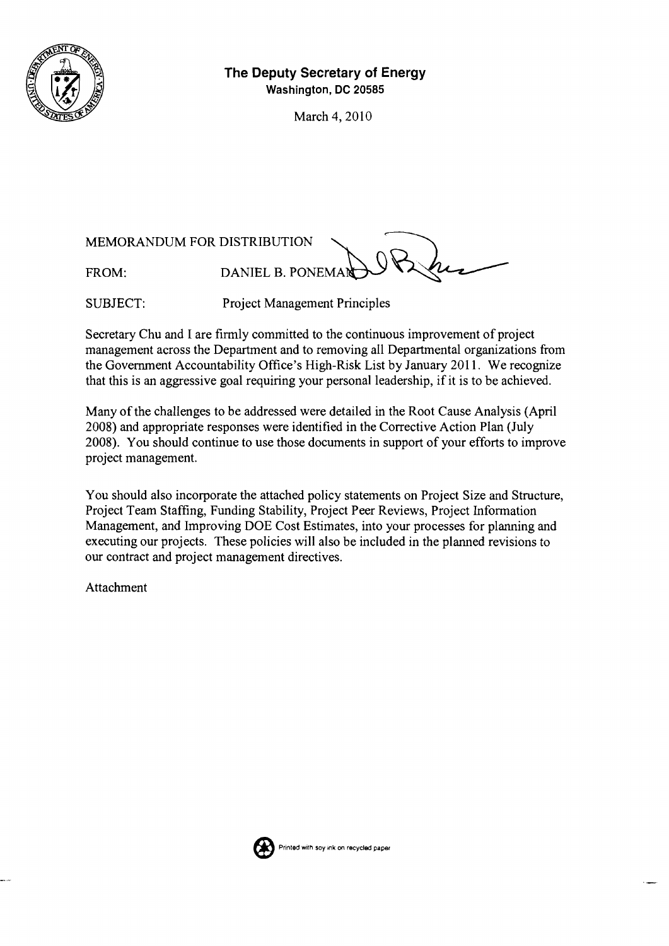

# **The Deputy Secretary of Energy Washington, DC 20585**

March 4,2010

MEMORANDUM FOR DISTRIBUTION

FROM: DANIEL B. PONEMAR

SUBJECT: Project Management Principles

Secretary Chu and I are firmly committed to the continuous improvement of project management across the Department and to removing all Departmental organizations from the Government Accountability Office's High-Risk List by January 2011. We recognize that this is an aggressive goal requiring your personal leadership, if it is to be achieved.

Many of the challenges to be addressed were detailed in the Root Cause Analysis (April 2008) and appropriate responses were identified in the Corrective Action Plan (July 2008). You should continue to use those documents in support of your efforts to improve project management.

You should also incorporate the attached policy statements on Project Size and Structure, Project Team Staffing, Funding Stability, Project Peer Reviews, Project Information Management, and Improving DOE Cost Estimates, into your processes for planning and executing our projects. These policies will also be included in the planned revisions to our contract and project management directives.

Attachment

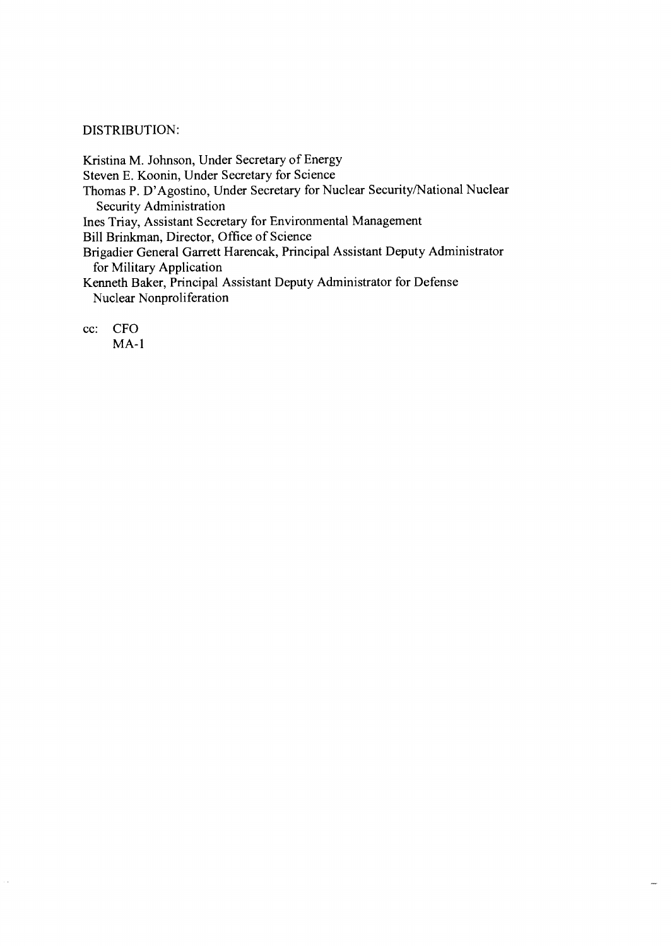#### DISTRIBUTION:

Kristina M. Johnson, Under Secretary of Energy Steven E. Koonin, Under Secretary for Science Thomas P. D'Agostino, Under Secretary for Nuclear Security/National Nuclear Security Administration Ines Triay, Assistant Secretary for Environmental Management Bill Brinkman, Director, Office of Science Brigadier General Garrett Harencak, Principal Assistant Deputy Administrator

for Military Application

Kenneth Baker, Principal Assistant Deputy Administrator for Defense Nuclear Nonproliferation

cc: CFO

J.

 $MA-1$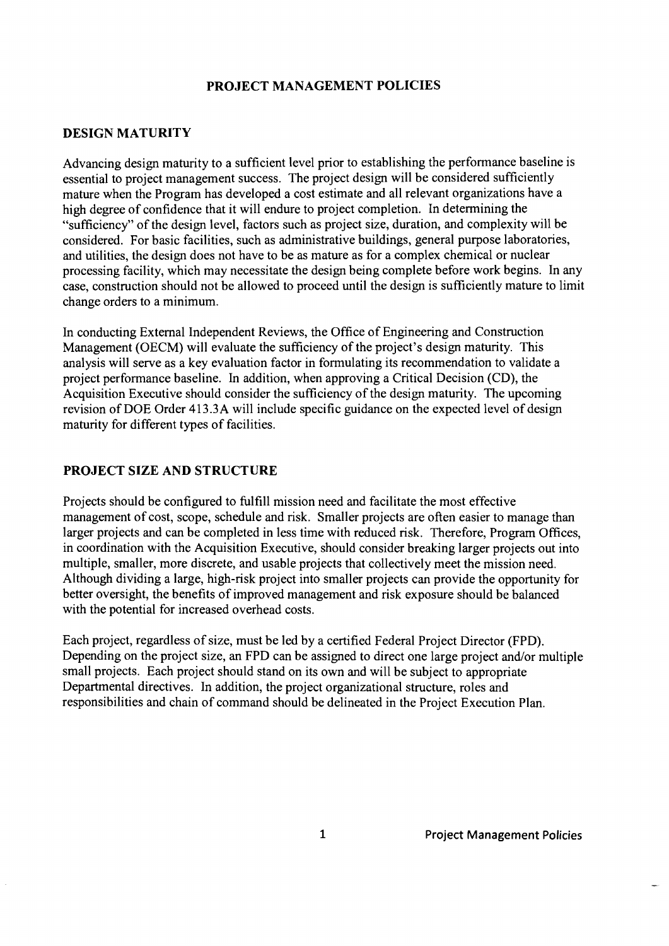# **PROJECT MANAGEMENT POLICIES**

### **DESIGN MATURITY**

Advancing design maturity to a sufficient level prior to establishing the performance baseline is essential to project management success. The project design will be considered sufficiently mature when the Program has developed a cost estimate and all relevant organizations have a high degree of confidence that it will endure to project completion. In determining the "sufficiency" of the design level, factors such as project size, duration, and complexity will be considered. For basic facilities, such as administrative buildings, general purpose laboratories, and utilities, the design does not have to be as mature as for a complex chemical or nuclear processing facility, which may necessitate the design being complete before work begins. In any case, construction should not be allowed to proceed until the design is sufficiently mature to limit change orders to a minimum.

In conducting External Independent Reviews, the Office of Engineering and Construction Management (OECM) will evaluate the sufficiency of the project's design maturity. This analysis will serve as a key evaluation factor in formulating its recommendation to validate a project performance baseline. In addition, when approving a Critical Decision (CD), the Acquisition Executive should consider the sufficiency of the design maturity. The upcoming revision of DOE Order 413.3A will include specific guidance on the expected level of design maturity for different types of facilities.

#### **PROJECT SIZE AND STRUCTURE**

Projects should be configured to hlfill mission need and facilitate the most effective management of cost, scope, schedule and risk. Smaller projects are often easier to manage than larger projects and can be completed in less time with reduced risk. Therefore, Program Offices, in coordination with the Acquisition Executive, should consider breaking larger projects out into multiple, smaller, more discrete, and usable projects that collectively meet the mission need. Although dividing a large, high-risk project into smaller projects can provide the opportunity for better oversight, the benefits of improved management and risk exposure should be balanced with the potential for increased overhead costs.

Each project, regardless of size, must be led by a certified Federal Project Director (FPD). Depending on the project size, an FPD can be assigned to direct one large project and/or multiple small projects. Each project should stand on its own and will be subject to appropriate Departmental directives. In addition, the project organizational structure, roles and responsibilities and chain of command should be delineated in the Project Execution Plan.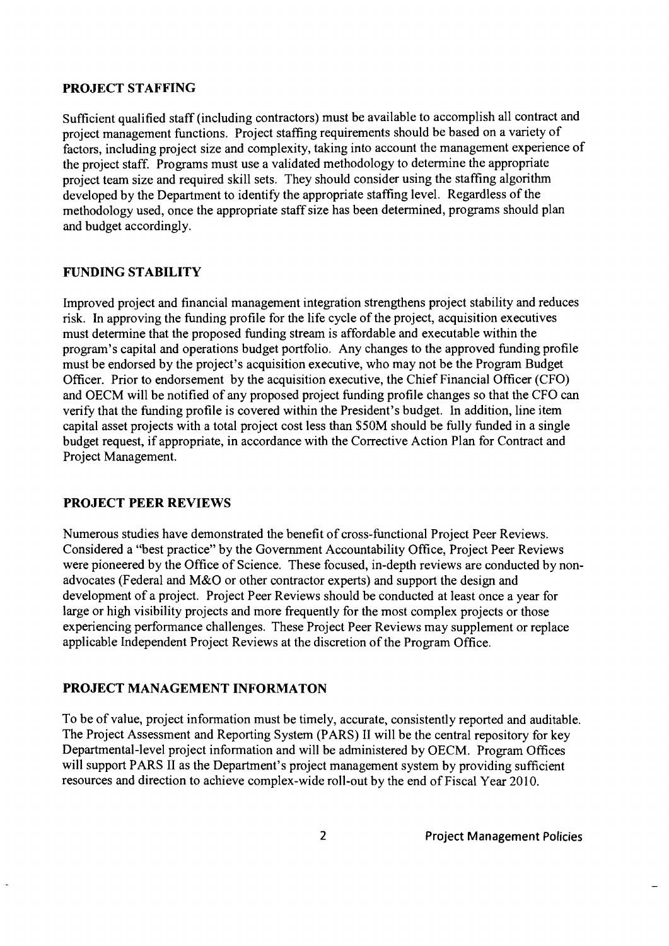## **PROJECT STAFFING**

Sufficient qualified staff (including contractors) must be available to accomplish all contract and project management functions. Project staffing requirements should be based on a variety of factors, including project size and complexity, taking into account the management experience of the project staff. Programs must use a validated methodology to determine the appropriate project team size and required skill sets. They should consider using the staffing algorithm developed by the Department to identify the appropriate staffing level. Regardless of the methodology used, once the appropriate staff size has been determined, programs should plan and budget accordingly.

# **FUNDING STABILITY**

Improved project and financial management integration strengthens project stability and reduces risk. In approving the funding profile for the life cycle of the project, acquisition executives must determine that the proposed funding stream is affordable and executable within the program's capital and operations budget portfolio. Any changes to the approved funding profile must be endorsed by the project's acquisition executive, who may not be the Program Budget Officer. Prior to endorsement by the acquisition executive, the Chief Financial Officer (CFO) and OECM will be notified of any proposed project funding profile changes so that the CFO can verify that the funding profile is covered within the President's budget. In addition, line item capital asset projects with a total project cost less than \$50M should be fully funded in a single budget request, if appropriate, in accordance with the Corrective Action Plan for Contract and Project Management.

# **PROJECT PEER REVIEWS**

Numerous studies have demonstrated the benefit of cross-functional Project Peer Reviews. Considered a "best practice" by the Government Accountability Office, Project Peer Reviews were pioneered by the Office of Science. These focused, in-depth reviews are conducted by nonadvocates (Federal and M&O or other contractor experts) and support the design and development of a project. Project Peer Reviews should be conducted at least once a year for large or high visibility projects and more frequently for the most complex projects or those experiencing performance challenges. These Project Peer Reviews may supplement or replace applicable Independent Project Reviews at the discretion of the Program Office.

#### **PROJECT MANAGEMENT INFORMATON**

To be of value, project information must be timely, accurate, consistently reported and auditable. The Project Assessment and Reporting System (PARS) I1 will be the central repository for key Departmental-level project information and will be administered by OECM. Program Offices will support PARS II as the Department's project management system by providing sufficient resources and direction to achieve complex-wide roll-out by the end of Fiscal Year 2010.